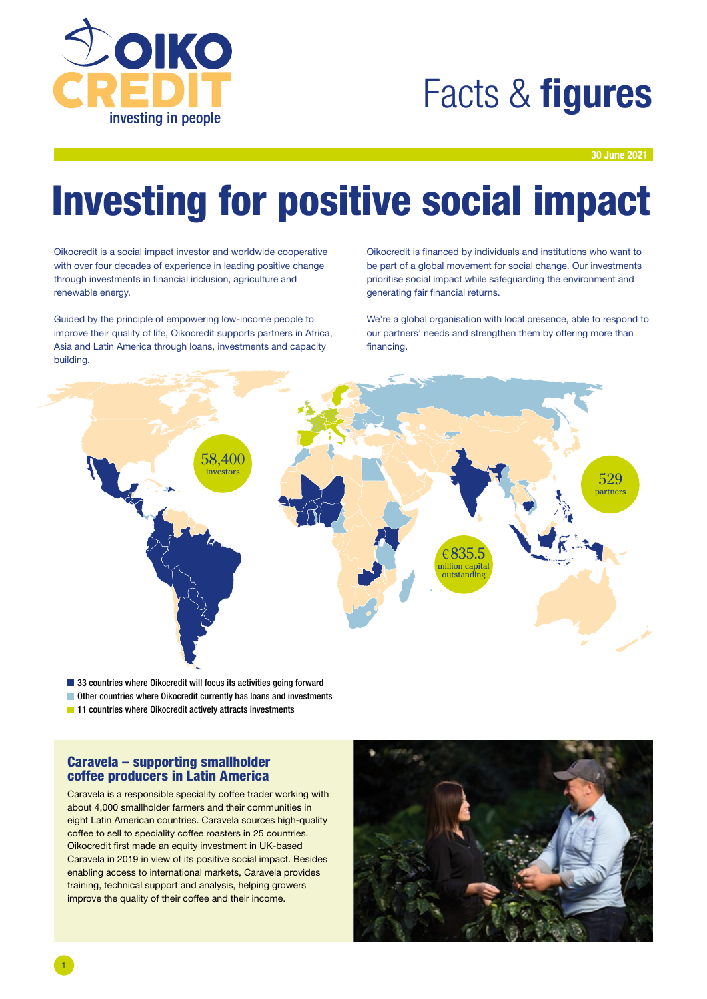

## Facts & **figures**

30 June 2021

# Investing for positive social impact

Oikocredit is a social impact investor and worldwide cooperative with over four decades of experience in leading positive change through investments in financial inclusion, agriculture and renewable energy.

Guided by the principle of empowering low-income people to improve their quality of life, Oikocredit supports partners in Africa, Asia and Latin America through loans, investments and capacity building.

Oikocredit is financed by individuals and institutions who want to be part of a global movement for social change. Our investments prioritise social impact while safeguarding the environment and generating fair financial returns.

We're a global organisation with local presence, able to respond to our partners' needs and strengthen them by offering more than financing.



■ 33 countries where Oikocredit will focus its activities going forward

- Other countries where Oikocredit currently has loans and investments
- **11** Countries where Oikocredit actively attracts investments

### Caravela – supporting smallholder coffee producers in Latin America

Caravela is a responsible speciality coffee trader working with about 4,000 smallholder farmers and their communities in eight Latin American countries. Caravela sources high-quality coffee to sell to speciality coffee roasters in 25 countries. Oikocredit first made an equity investment in UK-based Caravela in 2019 in view of its positive social impact. Besides enabling access to international markets, Caravela provides training, technical support and analysis, helping growers improve the quality of their coffee and their income.

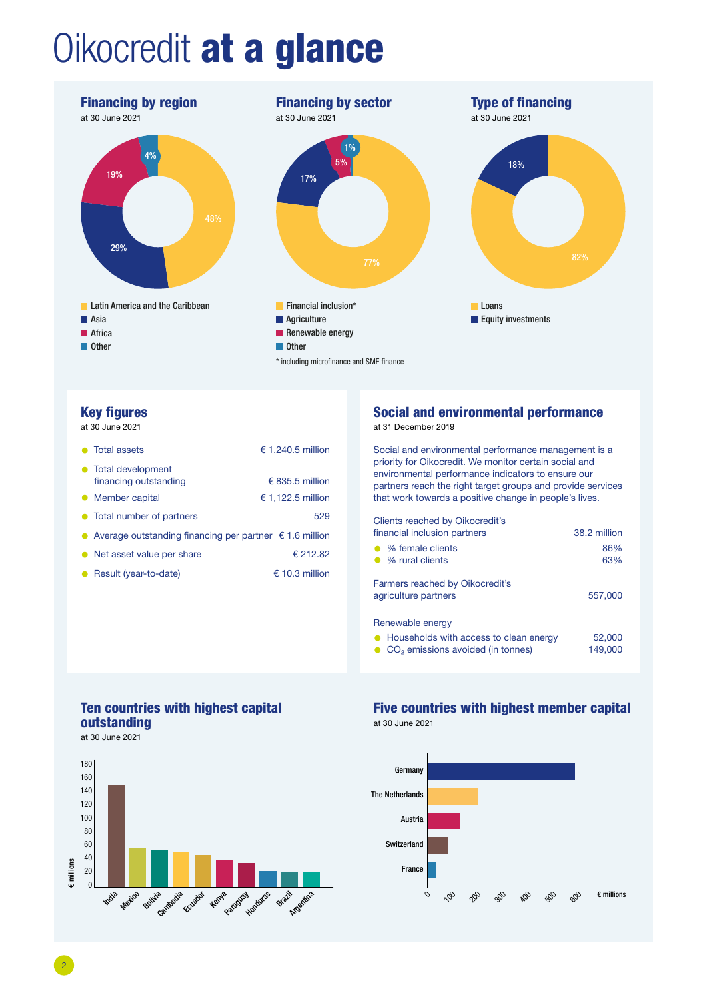# Oikocredit at a glance



### Key figures

at 30 June 2021

| • Total assets                                                                | € 1,240.5 million |  |  |  |
|-------------------------------------------------------------------------------|-------------------|--|--|--|
| • Total development<br>financing outstanding                                  | € 835.5 million   |  |  |  |
| Member capital<br>$\bullet$                                                   | € 1,122.5 million |  |  |  |
| • Total number of partners                                                    | 529               |  |  |  |
| Average outstanding financing per partner $\epsilon$ 1.6 million<br>$\bullet$ |                   |  |  |  |
| Net asset value per share                                                     | € 212.82          |  |  |  |
|                                                                               |                   |  |  |  |

### ● Result (year-to-date) 6 6 10.3 million

## Social and environmental performance

at 31 December 2019

Social and environmental performance management is a priority for Oikocredit. We monitor certain social and environmental performance indicators to ensure our partners reach the right target groups and provide services that work towards a positive change in people's lives.

Clients reached by Oikocredit's

| financial inclusion partners                                 | 38.2 million |
|--------------------------------------------------------------|--------------|
| • % female clients<br>• % rural clients                      | 86%<br>63%   |
| Farmers reached by Oikocredit's<br>agriculture partners      | 557,000      |
| Renewable energy<br>A Households with access to clean energy | 52.000       |

• Households with access to clean energy 52,000 • CO<sub>2</sub> emissions avoided (in tonnes)

## Ten countries with highest capital outstanding

at 30 June 2021



### Five countries with highest member capital at 30 June 2021